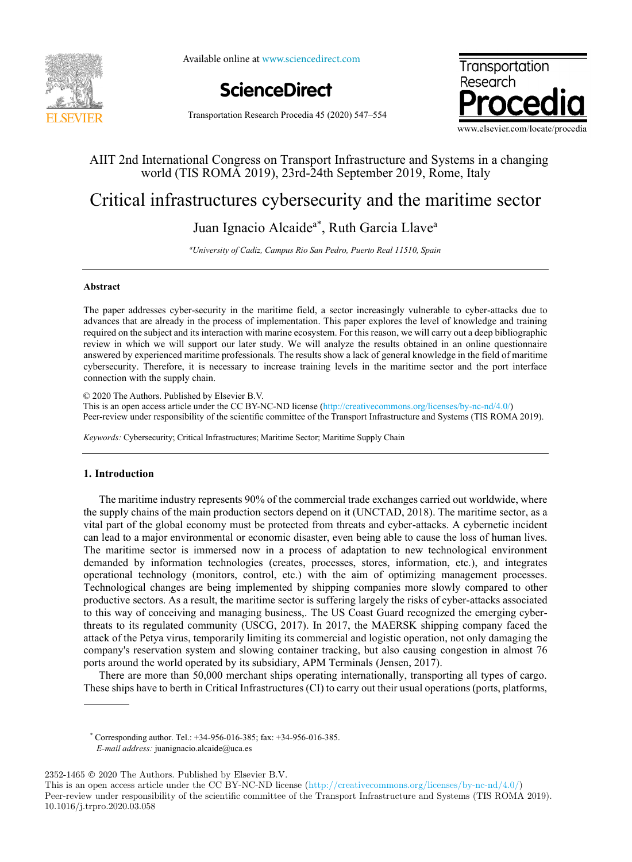

Available online at www.sciencedirect.com  $T_{\text{C}}$  of  $T_{\text{C}}$  www.seicheedirect.com science<br>Science Direct Direct Direct





Transportation Research Procedia 45 (2020) 547–554

# world (TIS ROMA 2019), 23rd-24th September 2019, Rome, Italy AIIT 2nd International Congress on Transport Infrastructure and Systems in a changing world (TIS ROMA 2019), 23rd-24th September 2019, Rome, Italy AIIT 2nd International Congress on Transport Infrastructure and Systems in a changing<br>
and Italy Times Romano 2019, 2019, 2019, 2019, 2019, 2019

#### tructures cybersecurity and the m Critical infrastructures cybersecurity and the maritime sector Critical infrastructures cybersecurity and the maritime sector

Juan Ignacio Alcaide<sup>a\*</sup>, Ruth Garcia Llave<sup>a</sup> Juan Ignacio Alcaide<sup>a\*</sup>, Ruth Garcia Llave<sup>a</sup>

*a University of Cadiz, Campus Rio San Pedro, Puerto Real 11510, Spain*

#### **Abstract**

The paper addresses cyber-security in the maritime field, a sector increasingly vulnerable to cyber-attacks due to advances that are already in the process of implementation. This paper explores the level of knowledge and training The paper addresses cyber-security in the maritime field, a sector increasingly vulnerable to cyber-attacks due to advances that are already in the process of implementation. This paper explores the level of knowledge and review in which we will support our later study. We will analyze the results obtained in an online questionnaire answered by experienced maritime professionals. The results show a lack of general knowledge in the field of maritime cybersecurity. Therefore, it is necessary to increase training levels in the maritime sector and the port interface review in which we will support our later study. We will analyze the results obtained in an online questionnaire<br>answered by experienced maritime professionals. The results show a lack of general knowledge in the field of connection with the supply chain. required on the subject and its interaction with marine ecosystem. For this reason, we will carry out a deep bibliographic<br>review in which we will support our later study. We will analyze the results obtained in an online

© 2020 The Authors. Published by Elsevier B.V. This is an open access article under the CC BY-NC-ND license (http://creativecommons.org/licenses/by-nc-nd/4.0/) Peer-review under responsibility of the scientific committee of the Transport Infrastructure and Systems (TIS ROMA 2019). Peer-review under responsibility of the scientific committee of TIS ROMA 2019 (https://creativecommons.org/licenses/by-nc-nd/4.0/)

Keywords: Cybersecurity; Critical Infrastructures; Maritime Sector; Maritime Supply Chain *Keywords:* Cybersecurity; Critical Infrastructures; Maritime Sector; Maritime Supply Chain

# **1. Introduction**

The maritime industry represents 90% of the commercial trade exchanges carried out worldwide, where the supply chains of the main production sectors depend on it (UNCTAD, 2018). The maritime sector, as a vital part of the global economy must be protected from threats and cyber-attacks. A cybernetic incident can lead to a major environmental or economic disaster, even being able to cause the loss of human lives. The maritime sector is immersed now in a process of adaptation to new technological environment demanded by information technologies (creates, processes, stores, information, etc.), and integrates operational technology (monitors, control, etc.) with the aim of optimizing management processes. Technological changes are being implemented by shipping companies more slowly compared to other productive sectors. As a result, the maritime sector is suffering largely the risks of cyber-attacks associated to this way of conceiving and managing business,. The US Coast Guard recognized the emerging cyberthreats to its regulated community (USCG, 2017). In 2017, the MAERSK shipping company faced the attack of the Petya virus, temporarily limiting its commercial and logistic operation, not only damaging the company's reservation system and slowing container tracking, but also causing congestion in almost 76 ports around the world operated by its subsidiary, APM Terminals (Jensen, 2017).

There are more than 50,000 merchant ships operating internationally, transporting all types of cargo. These ships have to berth in Critical Infrastructures (CI) to carry out their usual operations (ports, platforms, These ships have to berth in Critical Infrastructures (CI) to carry out their usual operations (ports, platforms, There are more than  $\frac{1}{\sqrt{2}}$  merchant ships operationally, transporting all types of cargo.

<sup>\*</sup> Corresponding author. Tel.: +34-956-016-385; fax: +34-956-016-385. *E-mail address:* juanignacio.alcaide@uca.es

 $2352-1465 \odot 2020$  The Authors. Published by Elsevier B.V.

This is an open access article under the CC BY-NC-ND license  $(\text{http://creativecommons.org/licenses/by-nc-nd/4.0/">\ntext{http://creativecommons.org/licenses/by-nc-nd/4.0/})$ Peer-review under responsibility of the scientific committee of the Transport Infrastructure and Systems (TIS ROMA 2019).  $10.1016/j.trpro.2020.03.058$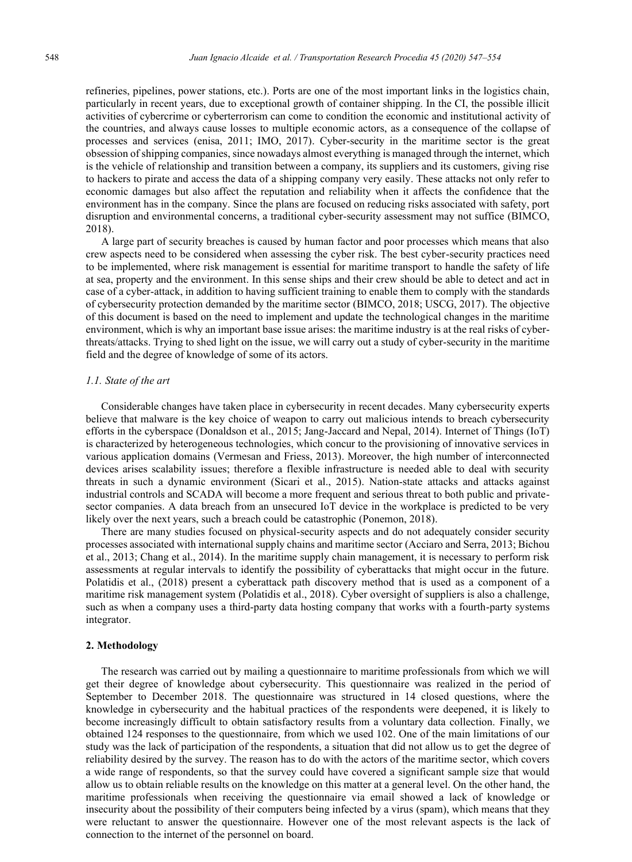refineries, pipelines, power stations, etc.). Ports are one of the most important links in the logistics chain, particularly in recent years, due to exceptional growth of container shipping. In the CI, the possible illicit activities of cybercrime or cyberterrorism can come to condition the economic and institutional activity of the countries, and always cause losses to multiple economic actors, as a consequence of the collapse of processes and services (enisa, 2011; IMO, 2017). Cyber-security in the maritime sector is the great obsession of shipping companies, since nowadays almost everything is managed through the internet, which is the vehicle of relationship and transition between a company, its suppliers and its customers, giving rise to hackers to pirate and access the data of a shipping company very easily. These attacks not only refer to economic damages but also affect the reputation and reliability when it affects the confidence that the environment has in the company. Since the plans are focused on reducing risks associated with safety, port disruption and environmental concerns, a traditional cyber-security assessment may not suffice (BIMCO, 2018).

A large part of security breaches is caused by human factor and poor processes which means that also crew aspects need to be considered when assessing the cyber risk. The best cyber-security practices need to be implemented, where risk management is essential for maritime transport to handle the safety of life at sea, property and the environment. In this sense ships and their crew should be able to detect and act in case of a cyber-attack, in addition to having sufficient training to enable them to comply with the standards of cybersecurity protection demanded by the maritime sector (BIMCO, 2018; USCG, 2017). The objective of this document is based on the need to implement and update the technological changes in the maritime environment, which is why an important base issue arises: the maritime industry is at the real risks of cyberthreats/attacks. Trying to shed light on the issue, we will carry out a study of cyber-security in the maritime field and the degree of knowledge of some of its actors.

# *1.1. State of the art*

Considerable changes have taken place in cybersecurity in recent decades. Many cybersecurity experts believe that malware is the key choice of weapon to carry out malicious intends to breach cybersecurity efforts in the cyberspace (Donaldson et al., 2015; Jang-Jaccard and Nepal, 2014). Internet of Things (IoT) is characterized by heterogeneous technologies, which concur to the provisioning of innovative services in various application domains (Vermesan and Friess, 2013). Moreover, the high number of interconnected devices arises scalability issues; therefore a flexible infrastructure is needed able to deal with security threats in such a dynamic environment (Sicari et al., 2015). Nation-state attacks and attacks against industrial controls and SCADA will become a more frequent and serious threat to both public and privatesector companies. A data breach from an unsecured IoT device in the workplace is predicted to be very likely over the next years, such a breach could be catastrophic (Ponemon, 2018).

There are many studies focused on physical-security aspects and do not adequately consider security processes associated with international supply chains and maritime sector (Acciaro and Serra, 2013; Bichou et al., 2013; Chang et al., 2014). In the maritime supply chain management, it is necessary to perform risk assessments at regular intervals to identify the possibility of cyberattacks that might occur in the future. Polatidis et al., (2018) present a cyberattack path discovery method that is used as a component of a maritime risk management system (Polatidis et al., 2018). Cyber oversight of suppliers is also a challenge, such as when a company uses a third-party data hosting company that works with a fourth-party systems integrator.

# **2. Methodology**

The research was carried out by mailing a questionnaire to maritime professionals from which we will get their degree of knowledge about cybersecurity. This questionnaire was realized in the period of September to December 2018. The questionnaire was structured in 14 closed questions, where the knowledge in cybersecurity and the habitual practices of the respondents were deepened, it is likely to become increasingly difficult to obtain satisfactory results from a voluntary data collection. Finally, we obtained 124 responses to the questionnaire, from which we used 102. One of the main limitations of our study was the lack of participation of the respondents, a situation that did not allow us to get the degree of reliability desired by the survey. The reason has to do with the actors of the maritime sector, which covers a wide range of respondents, so that the survey could have covered a significant sample size that would allow us to obtain reliable results on the knowledge on this matter at a general level. On the other hand, the maritime professionals when receiving the questionnaire via email showed a lack of knowledge or insecurity about the possibility of their computers being infected by a virus (spam), which means that they were reluctant to answer the questionnaire. However one of the most relevant aspects is the lack of connection to the internet of the personnel on board.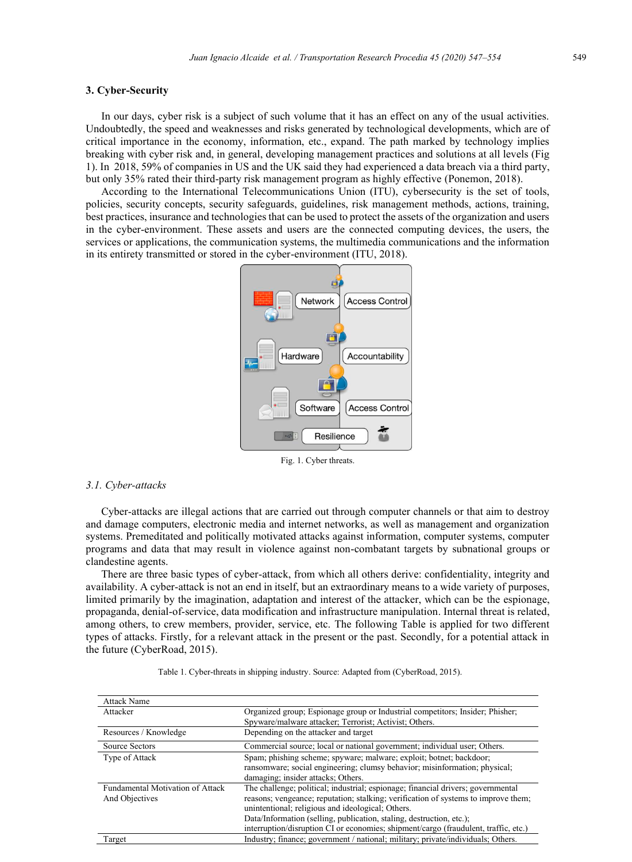### **3. Cyber-Security**

In our days, cyber risk is a subject of such volume that it has an effect on any of the usual activities. Undoubtedly, the speed and weaknesses and risks generated by technological developments, which are of critical importance in the economy, information, etc., expand. The path marked by technology implies breaking with cyber risk and, in general, developing management practices and solutions at all levels (Fig 1). In 2018, 59% of companies in US and the UK said they had experienced a data breach via a third party, but only 35% rated their third-party risk management program as highly effective (Ponemon, 2018).

According to the International Telecommunications Union (ITU), cybersecurity is the set of tools, policies, security concepts, security safeguards, guidelines, risk management methods, actions, training, best practices, insurance and technologies that can be used to protect the assets of the organization and users in the cyber-environment. These assets and users are the connected computing devices, the users, the services or applications, the communication systems, the multimedia communications and the information in its entirety transmitted or stored in the cyber-environment (ITU, 2018).



Fig. 1. Cyber threats.

#### *3.1. Cyber-attacks*

Cyber-attacks are illegal actions that are carried out through computer channels or that aim to destroy and damage computers, electronic media and internet networks, as well as management and organization systems. Premeditated and politically motivated attacks against information, computer systems, computer programs and data that may result in violence against non-combatant targets by subnational groups or clandestine agents.

There are three basic types of cyber-attack, from which all others derive: confidentiality, integrity and availability. A cyber-attack is not an end in itself, but an extraordinary means to a wide variety of purposes, limited primarily by the imagination, adaptation and interest of the attacker, which can be the espionage, propaganda, denial-of-service, data modification and infrastructure manipulation. Internal threat is related, among others, to crew members, provider, service, etc. The following Table is applied for two different types of attacks. Firstly, for a relevant attack in the present or the past. Secondly, for a potential attack in the future (CyberRoad, 2015).

| <b>Attack Name</b>                                        |                                                                                                                                                                                                                                                                                                                                                                                            |
|-----------------------------------------------------------|--------------------------------------------------------------------------------------------------------------------------------------------------------------------------------------------------------------------------------------------------------------------------------------------------------------------------------------------------------------------------------------------|
| Attacker                                                  | Organized group; Espionage group or Industrial competitors; Insider; Phisher;<br>Spyware/malware attacker; Terrorist; Activist; Others.                                                                                                                                                                                                                                                    |
| Resources / Knowledge                                     | Depending on the attacker and target                                                                                                                                                                                                                                                                                                                                                       |
| Source Sectors                                            | Commercial source; local or national government; individual user; Others.                                                                                                                                                                                                                                                                                                                  |
| Type of Attack                                            | Spam; phishing scheme; spyware; malware; exploit; botnet; backdoor;<br>ransomware; social engineering; clumsy behavior; misinformation; physical;<br>damaging; insider attacks; Others.                                                                                                                                                                                                    |
| <b>Fundamental Motivation of Attack</b><br>And Objectives | The challenge; political; industrial; espionage; financial drivers; governmental<br>reasons; vengeance; reputation; stalking; verification of systems to improve them;<br>unintentional; religious and ideological; Others.<br>Data/Information (selling, publication, staling, destruction, etc.);<br>interruption/disruption CI or economies; shipment/cargo (fraudulent, traffic, etc.) |
| Target                                                    | Industry; finance; government / national; military; private/individuals; Others.                                                                                                                                                                                                                                                                                                           |

Table 1. Cyber-threats in shipping industry. Source: Adapted from (CyberRoad, 2015).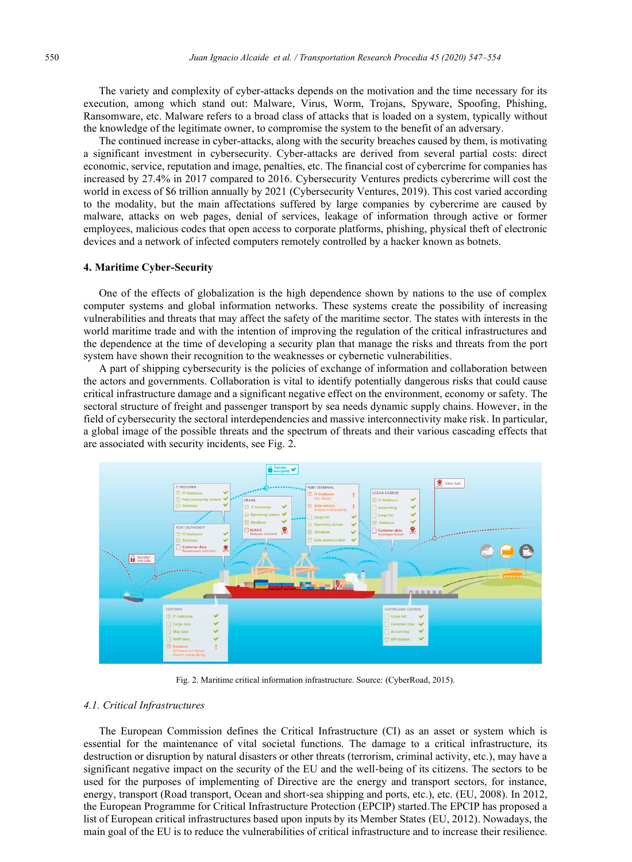The variety and complexity of cyber-attacks depends on the motivation and the time necessary for its execution, among which stand out: Malware, Virus, Worm, Trojans, Spyware, Spoofing, Phishing, Ransomware, etc. Malware refers to a broad class of attacks that is loaded on a system, typically without the knowledge of the legitimate owner, to compromise the system to the benefit of an adversary.

The continued increase in cyber-attacks, along with the security breaches caused by them, is motivating a significant investment in cybersecurity. Cyber-attacks are derived from several partial costs: direct economic, service, reputation and image, penalties, etc. The financial cost of cybercrime for companies has increased by 27.4% in 2017 compared to 2016. Cybersecurity Ventures predicts cybercrime will cost the world in excess of \$6 trillion annually by 2021 (Cybersecurity Ventures, 2019). This cost varied according to the modality, but the main affectations suffered by large companies by cybercrime are caused by malware, attacks on web pages, denial of services, leakage of information through active or former employees, malicious codes that open access to corporate platforms, phishing, physical theft of electronic devices and a network of infected computers remotely controlled by a hacker known as botnets.

# **4. Maritime Cyber-Security**

One of the effects of globalization is the high dependence shown by nations to the use of complex computer systems and global information networks. These systems create the possibility of increasing vulnerabilities and threats that may affect the safety of the maritime sector. The states with interests in the world maritime trade and with the intention of improving the regulation of the critical infrastructures and the dependence at the time of developing a security plan that manage the risks and threats from the port system have shown their recognition to the weaknesses or cybernetic vulnerabilities.

A part of shipping cybersecurity is the policies of exchange of information and collaboration between the actors and governments. Collaboration is vital to identify potentially dangerous risks that could cause critical infrastructure damage and a significant negative effect on the environment, economy or safety. The sectoral structure of freight and passenger transport by sea needs dynamic supply chains. However, in the field of cybersecurity the sectoral interdependencies and massive interconnectivity make risk. In particular, a global image of the possible threats and the spectrum of threats and their various cascading effects that are associated with security incidents, see Fig. 2.



Fig. 2. Maritime critical information infrastructure. Source: (CyberRoad, 2015).

## *4.1. Critical Infrastructures*

The European Commission defines the Critical Infrastructure (CI) as an asset or system which is essential for the maintenance of vital societal functions. The damage to a critical infrastructure, its destruction or disruption by natural disasters or other threats (terrorism, criminal activity, etc.), may have a significant negative impact on the security of the EU and the well-being of its citizens. The sectors to be used for the purposes of implementing of Directive are the energy and transport sectors, for instance, energy, transport (Road transport, Ocean and short-sea shipping and ports, etc.), etc. (EU, 2008). In 2012, the European Programme for Critical Infrastructure Protection (EPCIP) started.The EPCIP has proposed a list of European critical infrastructures based upon inputs by its Member States (EU, 2012). Nowadays, the main goal of the EU is to reduce the vulnerabilities of critical infrastructure and to increase their resilience.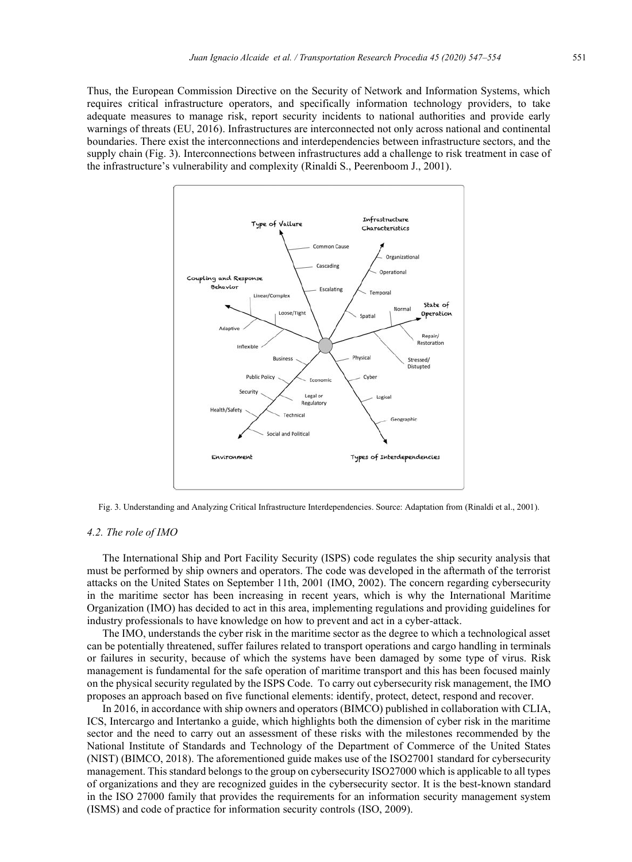Thus, the European Commission Directive on the Security of Network and Information Systems, which requires critical infrastructure operators, and specifically information technology providers, to take adequate measures to manage risk, report security incidents to national authorities and provide early warnings of threats (EU, 2016). Infrastructures are interconnected not only across national and continental boundaries. There exist the interconnections and interdependencies between infrastructure sectors, and the supply chain (Fig. 3). Interconnections between infrastructures add a challenge to risk treatment in case of the infrastructure's vulnerability and complexity (Rinaldi S., Peerenboom J., 2001).



Fig. 3. Understanding and Analyzing Critical Infrastructure Interdependencies. Source: Adaptation from (Rinaldi et al., 2001).

# *4.2. The role of IMO*

The International Ship and Port Facility Security (ISPS) code regulates the ship security analysis that must be performed by ship owners and operators. The code was developed in the aftermath of the terrorist attacks on the United States on September 11th, 2001 (IMO, 2002). The concern regarding cybersecurity in the maritime sector has been increasing in recent years, which is why the International Maritime Organization (IMO) has decided to act in this area, implementing regulations and providing guidelines for industry professionals to have knowledge on how to prevent and act in a cyber-attack.

The IMO, understands the cyber risk in the maritime sector as the degree to which a technological asset can be potentially threatened, suffer failures related to transport operations and cargo handling in terminals or failures in security, because of which the systems have been damaged by some type of virus. Risk management is fundamental for the safe operation of maritime transport and this has been focused mainly on the physical security regulated by the ISPS Code. To carry out cybersecurity risk management, the IMO proposes an approach based on five functional elements: identify, protect, detect, respond and recover.

In 2016, in accordance with ship owners and operators (BIMCO) published in collaboration with CLIA, ICS, Intercargo and Intertanko a guide, which highlights both the dimension of cyber risk in the maritime sector and the need to carry out an assessment of these risks with the milestones recommended by the National Institute of Standards and Technology of the Department of Commerce of the United States (NIST) (BIMCO, 2018). The aforementioned guide makes use of the ISO27001 standard for cybersecurity management. This standard belongs to the group on cybersecurity ISO27000 which is applicable to all types of organizations and they are recognized guides in the cybersecurity sector. It is the best-known standard in the ISO 27000 family that provides the requirements for an information security management system (ISMS) and code of practice for information security controls (ISO, 2009).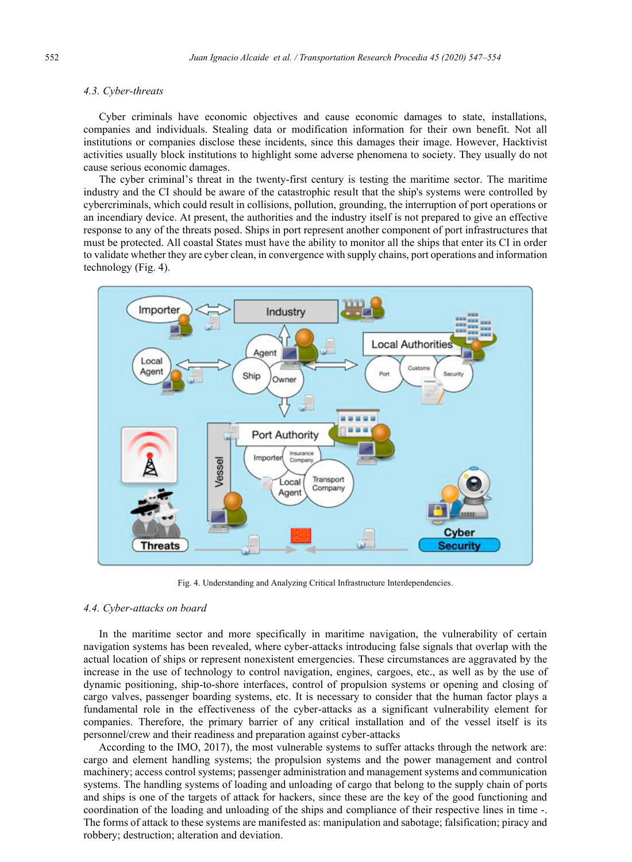### *4.3. Cyber-threats*

Cyber criminals have economic objectives and cause economic damages to state, installations, companies and individuals. Stealing data or modification information for their own benefit. Not all institutions or companies disclose these incidents, since this damages their image. However, Hacktivist activities usually block institutions to highlight some adverse phenomena to society. They usually do not cause serious economic damages.

The cyber criminal's threat in the twenty-first century is testing the maritime sector. The maritime industry and the CI should be aware of the catastrophic result that the ship's systems were controlled by cybercriminals, which could result in collisions, pollution, grounding, the interruption of port operations or an incendiary device. At present, the authorities and the industry itself is not prepared to give an effective response to any of the threats posed. Ships in port represent another component of port infrastructures that must be protected. All coastal States must have the ability to monitor all the ships that enter its CI in order to validate whether they are cyber clean, in convergence with supply chains, port operations and information technology (Fig. 4).



Fig. 4. Understanding and Analyzing Critical Infrastructure Interdependencies.

#### *4.4. Cyber-attacks on board*

In the maritime sector and more specifically in maritime navigation, the vulnerability of certain navigation systems has been revealed, where cyber-attacks introducing false signals that overlap with the actual location of ships or represent nonexistent emergencies. These circumstances are aggravated by the increase in the use of technology to control navigation, engines, cargoes, etc., as well as by the use of dynamic positioning, ship-to-shore interfaces, control of propulsion systems or opening and closing of cargo valves, passenger boarding systems, etc. It is necessary to consider that the human factor plays a fundamental role in the effectiveness of the cyber-attacks as a significant vulnerability element for companies. Therefore, the primary barrier of any critical installation and of the vessel itself is its personnel/crew and their readiness and preparation against cyber-attacks

According to the IMO, 2017), the most vulnerable systems to suffer attacks through the network are: cargo and element handling systems; the propulsion systems and the power management and control machinery; access control systems; passenger administration and management systems and communication systems. The handling systems of loading and unloading of cargo that belong to the supply chain of ports and ships is one of the targets of attack for hackers, since these are the key of the good functioning and coordination of the loading and unloading of the ships and compliance of their respective lines in time -. The forms of attack to these systems are manifested as: manipulation and sabotage; falsification; piracy and robbery; destruction; alteration and deviation.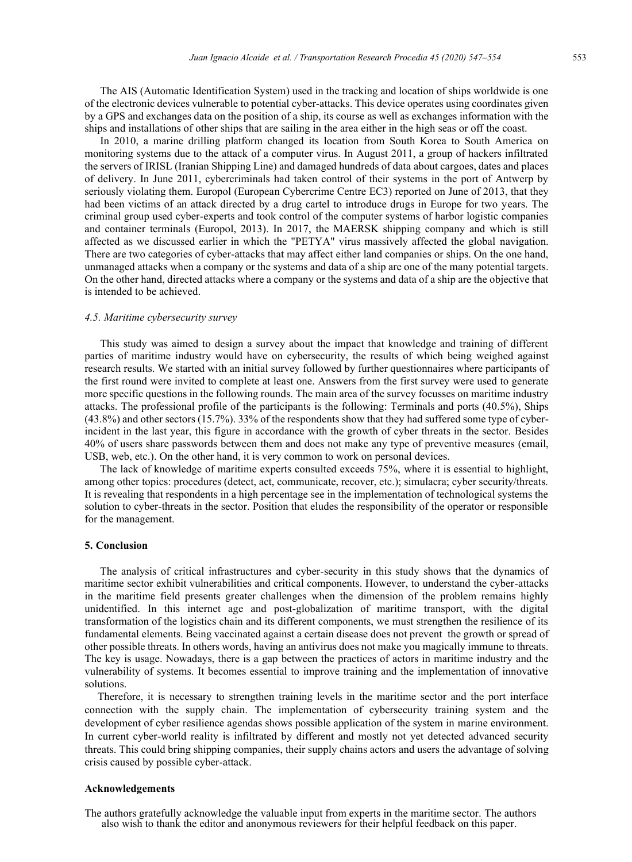The AIS (Automatic Identification System) used in the tracking and location of ships worldwide is one of the electronic devices vulnerable to potential cyber-attacks. This device operates using coordinates given by a GPS and exchanges data on the position of a ship, its course as well as exchanges information with the ships and installations of other ships that are sailing in the area either in the high seas or off the coast.

In 2010, a marine drilling platform changed its location from South Korea to South America on monitoring systems due to the attack of a computer virus. In August 2011, a group of hackers infiltrated the servers of IRISL (Iranian Shipping Line) and damaged hundreds of data about cargoes, dates and places of delivery. In June 2011, cybercriminals had taken control of their systems in the port of Antwerp by seriously violating them. Europol (European Cybercrime Centre EC3) reported on June of 2013, that they had been victims of an attack directed by a drug cartel to introduce drugs in Europe for two years. The criminal group used cyber-experts and took control of the computer systems of harbor logistic companies and container terminals (Europol, 2013). In 2017, the MAERSK shipping company and which is still affected as we discussed earlier in which the "PETYA" virus massively affected the global navigation. There are two categories of cyber-attacks that may affect either land companies or ships. On the one hand, unmanaged attacks when a company or the systems and data of a ship are one of the many potential targets. On the other hand, directed attacks where a company or the systems and data of a ship are the objective that is intended to be achieved.

#### *4.5. Maritime cybersecurity survey*

This study was aimed to design a survey about the impact that knowledge and training of different parties of maritime industry would have on cybersecurity, the results of which being weighed against research results. We started with an initial survey followed by further questionnaires where participants of the first round were invited to complete at least one. Answers from the first survey were used to generate more specific questions in the following rounds. The main area of the survey focusses on maritime industry attacks. The professional profile of the participants is the following: Terminals and ports (40.5%), Ships (43.8%) and other sectors (15.7%). 33% of the respondents show that they had suffered some type of cyberincident in the last year, this figure in accordance with the growth of cyber threats in the sector. Besides 40% of users share passwords between them and does not make any type of preventive measures (email, USB, web, etc.). On the other hand, it is very common to work on personal devices.

The lack of knowledge of maritime experts consulted exceeds 75%, where it is essential to highlight, among other topics: procedures (detect, act, communicate, recover, etc.); simulacra; cyber security/threats. It is revealing that respondents in a high percentage see in the implementation of technological systems the solution to cyber-threats in the sector. Position that eludes the responsibility of the operator or responsible for the management.

# **5. Conclusion**

The analysis of critical infrastructures and cyber-security in this study shows that the dynamics of maritime sector exhibit vulnerabilities and critical components. However, to understand the cyber-attacks in the maritime field presents greater challenges when the dimension of the problem remains highly unidentified. In this internet age and post-globalization of maritime transport, with the digital transformation of the logistics chain and its different components, we must strengthen the resilience of its fundamental elements. Being vaccinated against a certain disease does not prevent the growth or spread of other possible threats. In others words, having an antivirus does not make you magically immune to threats. The key is usage. Nowadays, there is a gap between the practices of actors in maritime industry and the vulnerability of systems. It becomes essential to improve training and the implementation of innovative solutions.

Therefore, it is necessary to strengthen training levels in the maritime sector and the port interface connection with the supply chain. The implementation of cybersecurity training system and the development of cyber resilience agendas shows possible application of the system in marine environment. In current cyber-world reality is infiltrated by different and mostly not yet detected advanced security threats. This could bring shipping companies, their supply chains actors and users the advantage of solving crisis caused by possible cyber-attack.

# **Acknowledgements**

The authors gratefully acknowledge the valuable input from experts in the maritime sector. The authors also wish to thank the editor and anonymous reviewers for their helpful feedback on this paper.